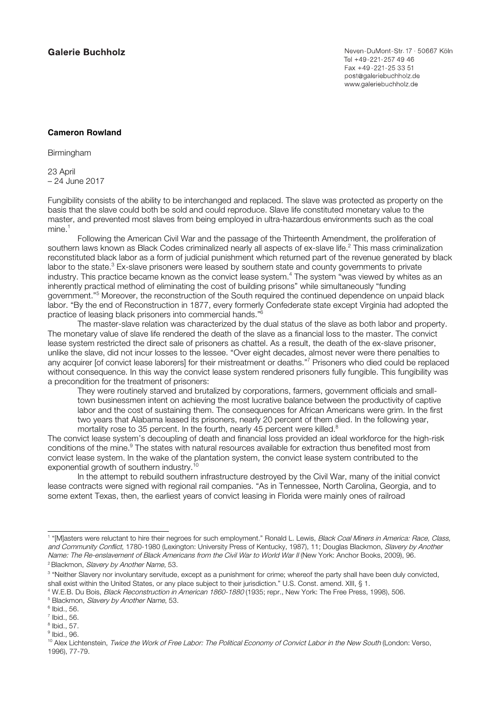Neven-DuMont-Str. 17 · 50667 Köln Tel +49-221-257 49 46 Fax +49-221-25 33 51 post@galeriebuchholz.de www.galeriebuchholz.de

## **Cameron Rowland**

Birmingham

23 April – 24 June 2017

Fungibility consists of the ability to be interchanged and replaced. The slave was protected as property on the basis that the slave could both be sold and could reproduce. Slave life constituted monetary value to the master, and prevented most slaves from being employed in ultra-hazardous environments such as the coal mine.<sup>1</sup>

Following the American Civil War and the passage of the Thirteenth Amendment, the proliferation of southern laws known as Black Codes criminalized nearly all aspects of ex-slave life.<sup>2</sup> This mass criminalization reconstituted black labor as a form of judicial punishment which returned part of the revenue generated by black labor to the state. $3$  Ex-slave prisoners were leased by southern state and county governments to private industry. This practice became known as the convict lease system.<sup>4</sup> The system "was viewed by whites as an inherently practical method of eliminating the cost of building prisons" while simultaneously "funding government."<sup>5</sup> Moreover, the reconstruction of the South required the continued dependence on unpaid black labor. "By the end of Reconstruction in 1877, every formerly Confederate state except Virginia had adopted the practice of leasing black prisoners into commercial hands."6

The master-slave relation was characterized by the dual status of the slave as both labor and property. The monetary value of slave life rendered the death of the slave as a financial loss to the master. The convict lease system restricted the direct sale of prisoners as chattel. As a result, the death of the ex-slave prisoner, unlike the slave, did not incur losses to the lessee. "Over eight decades, almost never were there penalties to any acquirer [of convict lease laborers] for their mistreatment or deaths."<sup>7</sup> Prisoners who died could be replaced without consequence. In this way the convict lease system rendered prisoners fully fungible. This fungibility was a precondition for the treatment of prisoners:

They were routinely starved and brutalized by corporations, farmers, government officials and smalltown businessmen intent on achieving the most lucrative balance between the productivity of captive labor and the cost of sustaining them. The consequences for African Americans were grim. In the first two years that Alabama leased its prisoners, nearly 20 percent of them died. In the following year, mortality rose to 35 percent. In the fourth, nearly 45 percent were killed.<sup>8</sup>

The convict lease system's decoupling of death and financial loss provided an ideal workforce for the high-risk conditions of the mine.<sup>9</sup> The states with natural resources available for extraction thus benefited most from convict lease system. In the wake of the plantation system, the convict lease system contributed to the exponential growth of southern industry.

In the attempt to rebuild southern infrastructure destroyed by the Civil War, many of the initial convict lease contracts were signed with regional rail companies. "As in Tennessee, North Carolina, Georgia, and to some extent Texas, then, the earliest years of convict leasing in Florida were mainly ones of railroad

<sup>&</sup>lt;sup>1</sup> "[M]asters were reluctant to hire their negroes for such employment." Ronald L. Lewis, *Black Coal Miners in America: Race, Class*, and Community Conflict, 1780-1980 (Lexington: University Press of Kentucky, 1987), 11; Douglas Blackmon, Slavery by Another Name: The Re-enslavement of Black Americans from the Civil War to World War II (New York: Anchor Books, 2009), 96. <sup>2</sup> Blackmon, Slavery by Another Name, 53.

<sup>&</sup>lt;sup>3</sup> "Neither Slavery nor involuntary servitude, except as a punishment for crime; whereof the party shall have been duly convicted, shall exist within the United States, or any place subject to their jurisdiction." U.S. Const. amend. XIII, § 1.

<sup>4</sup> W.E.B. Du Bois, Black Reconstruction in American 1860-1880 (1935; repr., New York: The Free Press, 1998), 506.

<sup>&</sup>lt;sup>5</sup> Blackmon, Slavery by Another Name, 53.

 $6$  Ibid., 56.

 $<sup>7</sup>$  Ibid., 56.</sup>

 $8$  Ibid., 57.

 $<sup>9</sup>$  Ibid., 96.</sup>

<sup>&</sup>lt;sup>10</sup> Alex Lichtenstein, Twice the Work of Free Labor: The Political Economy of Convict Labor in the New South (London: Verso, 1996), 77-79.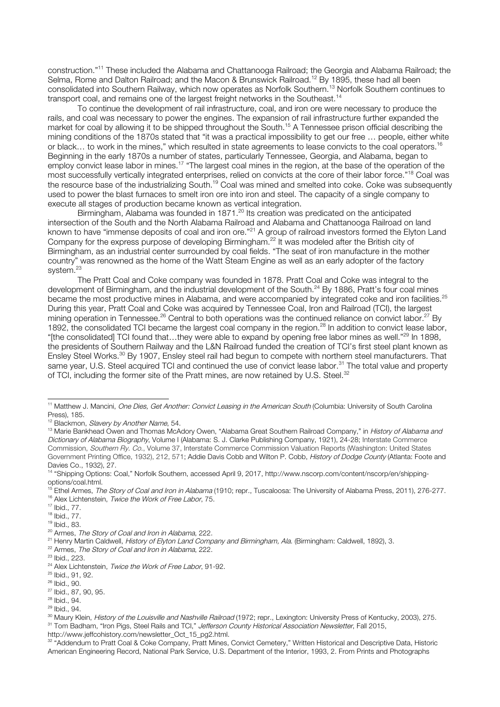construction."<sup>11</sup> These included the Alabama and Chattanooga Railroad; the Georgia and Alabama Railroad; the Selma, Rome and Dalton Railroad; and the Macon & Brunswick Railroad.<sup>12</sup> By 1895, these had all been consolidated into Southern Railway, which now operates as Norfolk Southern.<sup>13</sup> Norfolk Southern continues to transport coal, and remains one of the largest freight networks in the Southeast.<sup>14</sup>

To continue the development of rail infrastructure, coal, and iron ore were necessary to produce the rails, and coal was necessary to power the engines. The expansion of rail infrastructure further expanded the market for coal by allowing it to be shipped throughout the South.<sup>15</sup> A Tennessee prison official describing the mining conditions of the 1870s stated that "it was a practical impossibility to get our free … people, either white or black... to work in the mines," which resulted in state agreements to lease convicts to the coal operators.<sup>16</sup> Beginning in the early 1870s a number of states, particularly Tennessee, Georgia, and Alabama, began to employ convict lease labor in mines.<sup>17</sup> "The largest coal mines in the region, at the base of the operation of the most successfully vertically integrated enterprises, relied on convicts at the core of their labor force."<sup>18</sup> Coal was the resource base of the industrializing South.<sup>19</sup> Coal was mined and smelted into coke. Coke was subsequently used to power the blast furnaces to smelt iron ore into iron and steel. The capacity of a single company to execute all stages of production became known as vertical integration.

Birmingham, Alabama was founded in 1871.<sup>20</sup> Its creation was predicated on the anticipated intersection of the South and the North Alabama Railroad and Alabama and Chattanooga Railroad on land known to have "immense deposits of coal and iron ore."<sup>21</sup> A group of railroad investors formed the Elyton Land Company for the express purpose of developing Birmingham.<sup>22</sup> It was modeled after the British city of Birmingham, as an industrial center surrounded by coal fields. "The seat of iron manufacture in the mother country" was renowned as the home of the Watt Steam Engine as well as an early adopter of the factory system.<sup>23</sup>

The Pratt Coal and Coke company was founded in 1878. Pratt Coal and Coke was integral to the development of Birmingham, and the industrial development of the South.<sup>24</sup> By 1886, Pratt's four coal mines became the most productive mines in Alabama, and were accompanied by integrated coke and iron facilities.<sup>25</sup> During this year, Pratt Coal and Coke was acquired by Tennessee Coal, Iron and Railroad (TCI), the largest mining operation in Tennessee.<sup>26</sup> Central to both operations was the continued reliance on convict labor.27 By 1892, the consolidated TCI became the largest coal company in the region.<sup>28</sup> In addition to convict lease labor, "[the consolidated] TCI found that…they were able to expand by opening free labor mines as well."<sup>29</sup> In 1898, the presidents of Southern Railway and the L&N Railroad funded the creation of TCI's first steel plant known as Ensley Steel Works.<sup>30</sup> By 1907, Ensley steel rail had begun to compete with northern steel manufacturers. That same year, U.S. Steel acquired TCI and continued the use of convict lease labor.<sup>31</sup> The total value and property of TCI, including the former site of the Pratt mines, are now retained by U.S. Steel.<sup>32</sup>

<sup>22</sup> Armes, The Story of Coal and Iron in Alabama, 222.

<sup>32</sup> "Addendum to Pratt Coal & Coke Company, Pratt Mines, Convict Cemetery," Written Historical and Descriptive Data, Historic American Engineering Record, National Park Service, U.S. Department of the Interior, 1993, 2. From Prints and Photographs

<sup>&</sup>lt;sup>11</sup> Matthew J. Mancini, One Dies, Get Another: Convict Leasing in the American South (Columbia: University of South Carolina Press), 185.

<sup>&</sup>lt;sup>12</sup> Blackmon, Slavery by Another Name, 54.

<sup>&</sup>lt;sup>13</sup> Marie Bankhead Owen and Thomas McAdory Owen, "Alabama Great Southern Railroad Company," in *History of Alabama and* Dictionary of Alabama Biography, Volume I (Alabama: S. J. Clarke Publishing Company, 1921), 24-28; Interstate Commerce Commission, Southern Ry. Co., Volume 37, Interstate Commerce Commission Valuation Reports (Washington: United States Government Printing Office, 1932), 212, 571; Addie Davis Cobb and Wilton P. Cobb, History of Dodge County (Atlanta: Foote and Davies Co., 1932), 27.

<sup>14</sup> "Shipping Options: Coal," Norfolk Southern, accessed April 9, 2017, http://www.nscorp.com/content/nscorp/en/shippingoptions/coal.html.

<sup>.&</sup>lt;br>Ethel Armes, *The Story of Coal and Iron in Alabama* (1910; repr., Tuscaloosa: The University of Alabama Press, 2011), 276-277. <sup>16</sup> Alex Lichtenstein, Twice the Work of Free Labor, 75.

<sup>17</sup> Ibid., 77.

<sup>18</sup> Ibid., 77.

<sup>19</sup> Ibid., 83.

<sup>&</sup>lt;sup>20</sup> Armes, The Story of Coal and Iron in Alabama, 222.

<sup>&</sup>lt;sup>21</sup> Henry Martin Caldwell, History of Elyton Land Company and Birmingham, Ala. (Birmingham: Caldwell, 1892), 3.

<sup>23</sup> Ibid., 223.

 $24$  Alex Lichtenstein, Twice the Work of Free Labor, 91-92.

<sup>25</sup> Ibid., 91, 92.

<sup>26</sup> Ibid., 90.

<sup>27</sup> Ibid., 87, 90, 95.

<sup>28</sup> Ibid., 94.

<sup>29</sup> Ibid., 94.

<sup>&</sup>lt;sup>30</sup> Maury Klein, *History of the Louisville and Nashville Railroad* (1972; repr., Lexington: University Press of Kentucky, 2003), 275. <sup>31</sup> Tom Badham, "Iron Pigs, Steel Rails and TCI," Jefferson County Historical Association Newsletter, Fall 2015,

http://www.jeffcohistory.com/newsletter\_Oct\_15\_pg2.html.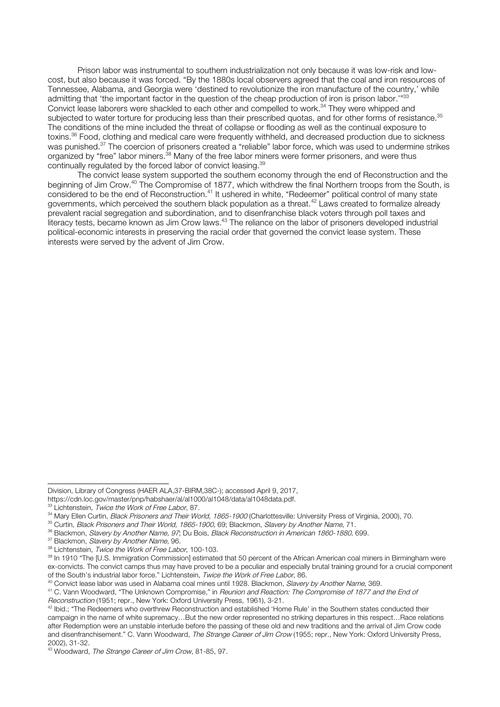Prison labor was instrumental to southern industrialization not only because it was low-risk and lowcost, but also because it was forced. "By the 1880s local observers agreed that the coal and iron resources of Tennessee, Alabama, and Georgia were 'destined to revolutionize the iron manufacture of the country,' while admitting that 'the important factor in the question of the cheap production of iron is prison labor."<sup>33</sup> Convict lease laborers were shackled to each other and compelled to work.<sup>34</sup> They were whipped and subjected to water torture for producing less than their prescribed quotas, and for other forms of resistance.<sup>35</sup> The conditions of the mine included the threat of collapse or flooding as well as the continual exposure to toxins.36 Food, clothing and medical care were frequently withheld, and decreased production due to sickness was punished.<sup>37</sup> The coercion of prisoners created a "reliable" labor force, which was used to undermine strikes organized by "free" labor miners.<sup>38</sup> Many of the free labor miners were former prisoners, and were thus continually regulated by the forced labor of convict leasing.<sup>39</sup>

The convict lease system supported the southern economy through the end of Reconstruction and the beginning of Jim Crow.40 The Compromise of 1877, which withdrew the final Northern troops from the South, is considered to be the end of Reconstruction.<sup>41</sup> It ushered in white, "Redeemer" political control of many state governments, which perceived the southern black population as a threat.<sup>42</sup> Laws created to formalize already prevalent racial segregation and subordination, and to disenfranchise black voters through poll taxes and literacy tests, became known as Jim Crow laws.<sup>43</sup> The reliance on the labor of prisoners developed industrial political-economic interests in preserving the racial order that governed the convict lease system. These interests were served by the advent of Jim Crow.

j Division, Library of Congress (HAER ALA,37-BIRM,38C-); accessed April 9, 2017,

https://cdn.loc.gov/master/pnp/habshaer/al/al1000/al1048/data/al1048data.pdf.

<sup>&</sup>lt;sup>33</sup> Lichtenstein, Twice the Work of Free Labor, 87.

<sup>&</sup>lt;sup>34</sup> Mary Ellen Curtin, Black Prisoners and Their World, 1865-1900 (Charlottesville: University Press of Virginia, 2000), 70.

<sup>&</sup>lt;sup>35</sup> Curtin, Black Prisoners and Their World, 1865-1900, 69; Blackmon, Slavery by Another Name, 71.

<sup>&</sup>lt;sup>36</sup> Blackmon, *Slavery by Another Name, 97*; Du Bois, *Black Reconstruction in American 1860-1880*, 699.<br><sup>37</sup> Blackmon, *Slavery by Another Name*, 96.

<sup>&</sup>lt;sup>38</sup> Lichtenstein, Twice the Work of Free Labor, 100-103.

<sup>&</sup>lt;sup>39</sup> In 1910 "The [U.S. Immigration Commission] estimated that 50 percent of the African American coal miners in Birmingham were ex-convicts. The convict camps thus may have proved to be a peculiar and especially brutal training ground for a crucial component of the South's industrial labor force." Lichtenstein, Twice the Work of Free Labor, 86.

<sup>&</sup>lt;sup>40</sup> Convict lease labor was used in Alabama coal mines until 1928. Blackmon, Slavery by Another Name, 369.

<sup>&</sup>lt;sup>41</sup> C. Vann Woodward, "The Unknown Compromise," in Reunion and Reaction: The Compromise of 1877 and the End of Reconstruction (1951; repr., New York: Oxford University Press, 1961), 3-21.

 $42$  lbid.; "The Redeemers who overthrew Reconstruction and established 'Home Rule' in the Southern states conducted their campaign in the name of white supremacy…But the new order represented no striking departures in this respect…Race relations after Redemption were an unstable interlude before the passing of these old and new traditions and the arrival of Jim Crow code and disenfranchisement." C. Vann Woodward, The Strange Career of Jim Crow (1955; repr., New York: Oxford University Press, 2002), 31-32.

<sup>43</sup> Woodward, The Strange Career of Jim Crow, 81-85, 97.